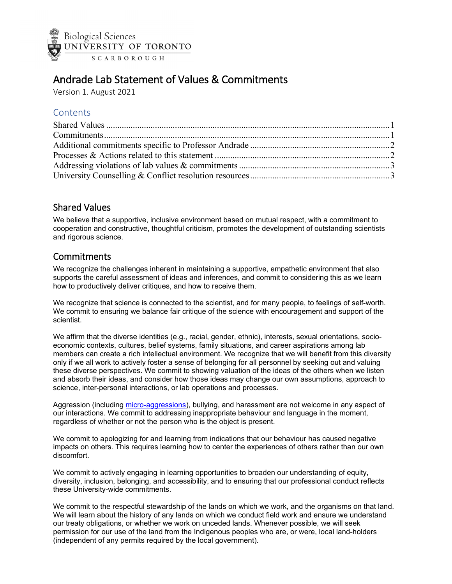

# Andrade Lab Statement of Values & Commitments

Version 1. August 2021

## **Contents**

#### <span id="page-0-0"></span>Shared Values

We believe that a supportive, inclusive environment based on mutual respect, with a commitment to cooperation and constructive, thoughtful criticism, promotes the development of outstanding scientists and rigorous science.

### <span id="page-0-1"></span>**Commitments**

We recognize the challenges inherent in maintaining a supportive, empathetic environment that also supports the careful assessment of ideas and inferences, and commit to considering this as we learn how to productively deliver critiques, and how to receive them.

We recognize that science is connected to the scientist, and for many people, to feelings of self-worth. We commit to ensuring we balance fair critique of the science with encouragement and support of the scientist.

We affirm that the diverse identities (e.g., racial, gender, ethnic), interests, sexual orientations, socioeconomic contexts, cultures, belief systems, family situations, and career aspirations among lab members can create a rich intellectual environment. We recognize that we will benefit from this diversity only if we all work to actively foster a sense of belonging for all personnel by seeking out and valuing these diverse perspectives. We commit to showing valuation of the ideas of the others when we listen and absorb their ideas, and consider how those ideas may change our own assumptions, approach to science, inter-personal interactions, or lab operations and processes.

Aggression (including [micro-aggressions\)](https://www.lexico.com/definition/microaggression), bullying, and harassment are not welcome in any aspect of our interactions. We commit to addressing inappropriate behaviour and language in the moment, regardless of whether or not the person who is the object is present.

We commit to apologizing for and learning from indications that our behaviour has caused negative impacts on others. This requires learning how to center the experiences of others rather than our own discomfort.

We commit to actively engaging in learning opportunities to broaden our understanding of equity, diversity, inclusion, belonging, and accessibility, and to ensuring that our professional conduct reflects these University-wide commitments.

We commit to the respectful stewardship of the lands on which we work, and the organisms on that land. We will learn about the history of any lands on which we conduct field work and ensure we understand our treaty obligations, or whether we work on unceded lands. Whenever possible, we will seek permission for our use of the land from the Indigenous peoples who are, or were, local land-holders (independent of any permits required by the local government).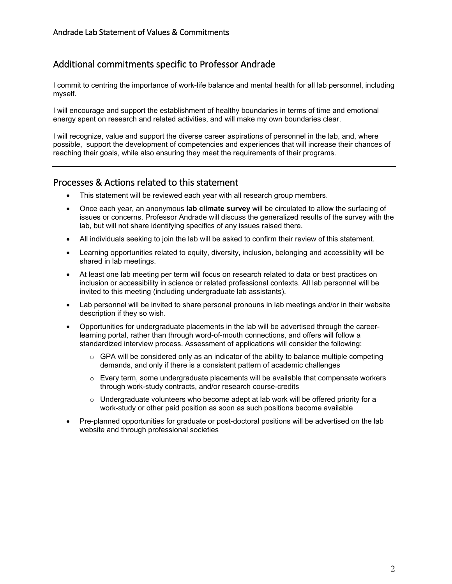## <span id="page-1-0"></span>Additional commitments specific to Professor Andrade

I commit to centring the importance of work-life balance and mental health for all lab personnel, including myself.

I will encourage and support the establishment of healthy boundaries in terms of time and emotional energy spent on research and related activities, and will make my own boundaries clear.

I will recognize, value and support the diverse career aspirations of personnel in the lab, and, where possible, support the development of competencies and experiences that will increase their chances of reaching their goals, while also ensuring they meet the requirements of their programs.

#### <span id="page-1-1"></span>Processes & Actions related to this statement

- This statement will be reviewed each year with all research group members.
- Once each year, an anonymous **lab climate survey** will be circulated to allow the surfacing of issues or concerns. Professor Andrade will discuss the generalized results of the survey with the lab, but will not share identifying specifics of any issues raised there.
- All individuals seeking to join the lab will be asked to confirm their review of this statement.
- Learning opportunities related to equity, diversity, inclusion, belonging and accessiblity will be shared in lab meetings.
- At least one lab meeting per term will focus on research related to data or best practices on inclusion or accessibility in science or related professional contexts. All lab personnel will be invited to this meeting (including undergraduate lab assistants).
- Lab personnel will be invited to share personal pronouns in lab meetings and/or in their website description if they so wish.
- Opportunities for undergraduate placements in the lab will be advertised through the careerlearning portal, rather than through word-of-mouth connections, and offers will follow a standardized interview process. Assessment of applications will consider the following:
	- $\circ$  GPA will be considered only as an indicator of the ability to balance multiple competing demands, and only if there is a consistent pattern of academic challenges
	- $\circ$  Every term, some undergraduate placements will be available that compensate workers through work-study contracts, and/or research course-credits
	- $\circ$  Undergraduate volunteers who become adept at lab work will be offered priority for a work-study or other paid position as soon as such positions become available
- Pre-planned opportunities for graduate or post-doctoral positions will be advertised on the lab website and through professional societies